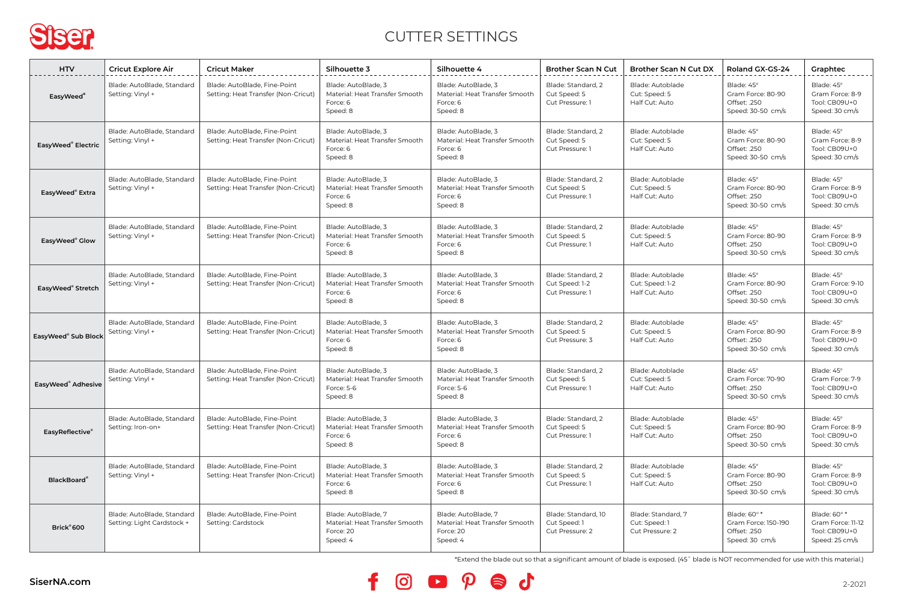

## CUTTER SETTINGS

| <b>HTV</b>                     | <b>Cricut Explore Air</b>                                | <b>Cricut Maker</b>                                                 | Silhouette 3                                                                    | Silhouette 4                                                                    | <b>Brother Scan N Cut</b>                               | <b>Brother Scan N Cut DX</b>                           | Roland GX-GS-24                                                       | Graphtec                                                             |
|--------------------------------|----------------------------------------------------------|---------------------------------------------------------------------|---------------------------------------------------------------------------------|---------------------------------------------------------------------------------|---------------------------------------------------------|--------------------------------------------------------|-----------------------------------------------------------------------|----------------------------------------------------------------------|
| EasyWeed <sup>®</sup>          | Blade: AutoBlade, Standard<br>Setting: Vinyl +           | Blade: AutoBlade, Fine-Point<br>Setting: Heat Transfer (Non-Cricut) | Blade: AutoBlade, 3<br>Material: Heat Transfer Smooth<br>Force: 6<br>Speed: 8   | Blade: AutoBlade, 3<br>Material: Heat Transfer Smooth<br>Force: 6<br>Speed: 8   | Blade: Standard, 2<br>Cut Speed: 5<br>Cut Pressure: 1   | Blade: Autoblade<br>Cut: Speed: 5<br>Half Cut: Auto    | Blade: 45°<br>Gram Force: 80-90<br>Offset: .250<br>Speed: 30-50 cm/s  | Blade: 45°<br>Gram Force: 8-9<br>Tool: CB09U+0<br>Speed: 30 cm/s     |
| EasyWeed® Electric             | Blade: AutoBlade, Standard<br>Setting: Vinyl +           | Blade: AutoBlade, Fine-Point<br>Setting: Heat Transfer (Non-Cricut) | Blade: AutoBlade, 3<br>Material: Heat Transfer Smooth<br>Force: 6<br>Speed: 8   | Blade: AutoBlade, 3<br>Material: Heat Transfer Smooth<br>Force: 6<br>Speed: 8   | Blade: Standard, 2<br>Cut Speed: 5<br>Cut Pressure: 1   | Blade: Autoblade<br>Cut: Speed: 5<br>Half Cut: Auto    | Blade: 45°<br>Gram Force: 80-90<br>Offset: .250<br>Speed: 30-50 cm/s  | Blade: 45°<br>Gram Force: 8-9<br>Tool: CB09U+0<br>Speed: 30 cm/s     |
| EasyWeed <sup>®</sup> Extra    | Blade: AutoBlade, Standard<br>Setting: Vinyl +           | Blade: AutoBlade, Fine-Point<br>Setting: Heat Transfer (Non-Cricut) | Blade: AutoBlade, 3<br>Material: Heat Transfer Smooth<br>Force: 6<br>Speed: 8   | Blade: AutoBlade, 3<br>Material: Heat Transfer Smooth<br>Force: 6<br>Speed: 8   | Blade: Standard, 2<br>Cut Speed: 5<br>Cut Pressure: 1   | Blade: Autoblade<br>Cut: Speed: 5<br>Half Cut: Auto    | Blade: 45°<br>Gram Force: 80-90<br>Offset: .250<br>Speed: 30-50 cm/s  | Blade: 45°<br>Gram Force: 8-9<br>Tool: CB09U+0<br>Speed: 30 cm/s     |
| EasyWeed® Glow                 | Blade: AutoBlade, Standard<br>Setting: Vinyl +           | Blade: AutoBlade, Fine-Point<br>Setting: Heat Transfer (Non-Cricut) | Blade: AutoBlade, 3<br>Material: Heat Transfer Smooth<br>Force: 6<br>Speed: 8   | Blade: AutoBlade, 3<br>Material: Heat Transfer Smooth<br>Force: 6<br>Speed: 8   | Blade: Standard, 2<br>Cut Speed: 5<br>Cut Pressure: 1   | Blade: Autoblade<br>Cut: Speed: 5<br>Half Cut: Auto    | Blade: 45°<br>Gram Force: 80-90<br>Offset: .250<br>Speed: 30-50 cm/s  | Blade: 45°<br>Gram Force: 8-9<br>Tool: CB09U+0<br>Speed: 30 cm/s     |
| EasyWeed <sup>®</sup> Stretch  | Blade: AutoBlade, Standard<br>Setting: Vinyl +           | Blade: AutoBlade, Fine-Point<br>Setting: Heat Transfer (Non-Cricut) | Blade: AutoBlade, 3<br>Material: Heat Transfer Smooth<br>Force: 6<br>Speed: 8   | Blade: AutoBlade, 3<br>Material: Heat Transfer Smooth<br>Force: 6<br>Speed: 8   | Blade: Standard, 2<br>Cut Speed: 1-2<br>Cut Pressure: 1 | Blade: Autoblade<br>Cut: Speed: 1-2<br>Half Cut: Auto  | Blade: 45°<br>Gram Force: 80-90<br>Offset: .250<br>Speed: 30-50 cm/s  | Blade: 45°<br>Gram Force: 9-10<br>Tool: CB09U+0<br>Speed: 30 cm/s    |
| EasyWeed® Sub Block            | Blade: AutoBlade, Standard<br>Setting: Vinyl +           | Blade: AutoBlade, Fine-Point<br>Setting: Heat Transfer (Non-Cricut) | Blade: AutoBlade, 3<br>Material: Heat Transfer Smooth<br>Force: 6<br>Speed: 8   | Blade: AutoBlade, 3<br>Material: Heat Transfer Smooth<br>Force: 6<br>Speed: 8   | Blade: Standard, 2<br>Cut Speed: 5<br>Cut Pressure: 3   | Blade: Autoblade<br>Cut: Speed: 5<br>Half Cut: Auto    | Blade: 45°<br>Gram Force: 80-90<br>Offset: .250<br>Speed: 30-50 cm/s  | Blade: 45°<br>Gram Force: 8-9<br>Tool: CB09U+0<br>Speed: 30 cm/s     |
| EasyWeed <sup>®</sup> Adhesive | Blade: AutoBlade, Standard<br>Setting: Vinyl +           | Blade: AutoBlade, Fine-Point<br>Setting: Heat Transfer (Non-Cricut) | Blade: AutoBlade, 3<br>Material: Heat Transfer Smooth<br>Force: 5-6<br>Speed: 8 | Blade: AutoBlade, 3<br>Material: Heat Transfer Smooth<br>Force: 5-6<br>Speed: 8 | Blade: Standard, 2<br>Cut Speed: 5<br>Cut Pressure: 1   | Blade: Autoblade<br>Cut: Speed: 5<br>Half Cut: Auto    | Blade: 45°<br>Gram Force: 70-90<br>Offset: .250<br>Speed: 30-50 cm/s  | Blade: 45°<br>Gram Force: 7-9<br>Tool: CB09U+0<br>Speed: 30 cm/s     |
| EasyReflective®                | Blade: AutoBlade, Standard<br>Setting: Iron-on+          | Blade: AutoBlade, Fine-Point<br>Setting: Heat Transfer (Non-Cricut) | Blade: AutoBlade, 3<br>Material: Heat Transfer Smooth<br>Force: 6<br>Speed: 8   | Blade: AutoBlade, 3<br>Material: Heat Transfer Smooth<br>Force: 6<br>Speed: 8   | Blade: Standard, 2<br>Cut Speed: 5<br>Cut Pressure: 1   | Blade: Autoblade<br>Cut: Speed: 5<br>Half Cut: Auto    | Blade: 45°<br>Gram Force: 80-90<br>Offset: .250<br>Speed: 30-50 cm/s  | Blade: 45°<br>Gram Force: 8-9<br>Tool: CB09U+0<br>Speed: 30 cm/s     |
| <b>BlackBoard®</b>             | Blade: AutoBlade, Standard<br>Setting: Vinyl +           | Blade: AutoBlade, Fine-Point<br>Setting: Heat Transfer (Non-Cricut) | Blade: AutoBlade, 3<br>Material: Heat Transfer Smooth<br>Force: 6<br>Speed: 8   | Blade: AutoBlade, 3<br>Material: Heat Transfer Smooth<br>Force: 6<br>Speed: 8   | Blade: Standard, 2<br>Cut Speed: 5<br>Cut Pressure: 1   | Blade: Autoblade<br>Cut: Speed: 5<br>Half Cut: Auto    | Blade: 45°<br>Gram Force: 80-90<br>Offset: .250<br>Speed: 30-50 cm/s  | Blade: 45°<br>Gram Force: 8-9<br>Tool: CB09U+0<br>Speed: 30 cm/s     |
| Brick®600                      | Blade: AutoBlade, Standard<br>Setting: Light Cardstock + | Blade: AutoBlade, Fine-Point<br>Setting: Cardstock                  | Blade: AutoBlade, 7<br>Material: Heat Transfer Smooth<br>Force: 20<br>Speed: 4  | Blade: AutoBlade, 7<br>Material: Heat Transfer Smooth<br>Force: 20<br>Speed: 4  | Blade: Standard, 10<br>Cut Speed: 1<br>Cut Pressure: 2  | Blade: Standard, 7<br>Cut: Speed: 1<br>Cut Pressure: 2 | Blade: 60° *<br>Gram Force: 150-190<br>Offset: .250<br>Speed: 30 cm/s | Blade: 60° *<br>Gram Force: 11-12<br>Tool: CB09U+0<br>Speed: 25 cm/s |

\*Extend the blade out so that a significant amount of blade is exposed. (45˚ blade is NOT recommended for use with this material.)